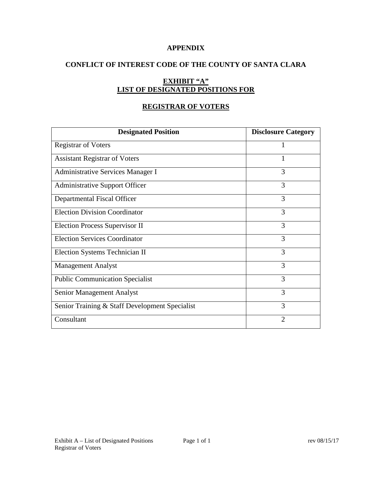### **APPENDIX**

### **CONFLICT OF INTEREST CODE OF THE COUNTY OF SANTA CLARA**

# **EXHIBIT "A" LIST OF DESIGNATED POSITIONS FOR**

# **REGISTRAR OF VOTERS**

| <b>Designated Position</b>                     | <b>Disclosure Category</b> |
|------------------------------------------------|----------------------------|
| <b>Registrar of Voters</b>                     |                            |
| <b>Assistant Registrar of Voters</b>           |                            |
| Administrative Services Manager I              | 3                          |
| <b>Administrative Support Officer</b>          | 3                          |
| Departmental Fiscal Officer                    | 3                          |
| <b>Election Division Coordinator</b>           | 3                          |
| Election Process Supervisor II                 | 3                          |
| <b>Election Services Coordinator</b>           | 3                          |
| Election Systems Technician II                 | 3                          |
| <b>Management Analyst</b>                      | 3                          |
| <b>Public Communication Specialist</b>         | 3                          |
| Senior Management Analyst                      | 3                          |
| Senior Training & Staff Development Specialist | 3                          |
| Consultant                                     | $\overline{2}$             |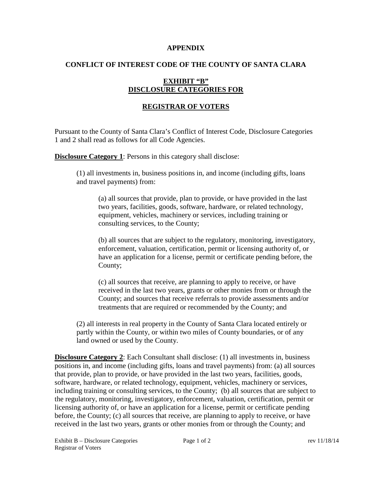#### **APPENDIX**

### **CONFLICT OF INTEREST CODE OF THE COUNTY OF SANTA CLARA**

# **EXHIBIT "B" DISCLOSURE CATEGORIES FOR**

# **REGISTRAR OF VOTERS**

Pursuant to the County of Santa Clara's Conflict of Interest Code, Disclosure Categories 1 and 2 shall read as follows for all Code Agencies.

**Disclosure Category 1:** Persons in this category shall disclose:

(1) all investments in, business positions in, and income (including gifts, loans and travel payments) from:

(a) all sources that provide, plan to provide, or have provided in the last two years, facilities, goods, software, hardware, or related technology, equipment, vehicles, machinery or services, including training or consulting services, to the County;

(b) all sources that are subject to the regulatory, monitoring, investigatory, enforcement, valuation, certification, permit or licensing authority of, or have an application for a license, permit or certificate pending before, the County;

(c) all sources that receive, are planning to apply to receive, or have received in the last two years, grants or other monies from or through the County; and sources that receive referrals to provide assessments and/or treatments that are required or recommended by the County; and

(2) all interests in real property in the County of Santa Clara located entirely or partly within the County, or within two miles of County boundaries, or of any land owned or used by the County.

**Disclosure Category 2:** Each Consultant shall disclose: (1) all investments in, business positions in, and income (including gifts, loans and travel payments) from: (a) all sources that provide, plan to provide, or have provided in the last two years, facilities, goods, software, hardware, or related technology, equipment, vehicles, machinery or services, including training or consulting services, to the County; (b) all sources that are subject to the regulatory, monitoring, investigatory, enforcement, valuation, certification, permit or licensing authority of, or have an application for a license, permit or certificate pending before, the County; (c) all sources that receive, are planning to apply to receive, or have received in the last two years, grants or other monies from or through the County; and